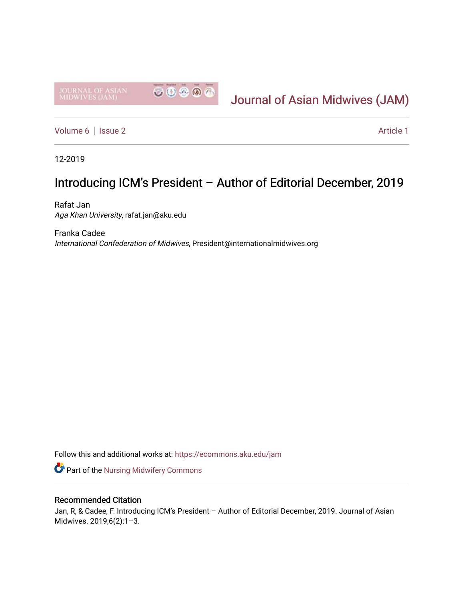

# [Journal of Asian Midwives \(JAM\)](https://ecommons.aku.edu/jam)

[Volume 6](https://ecommons.aku.edu/jam/vol6) | [Issue 2](https://ecommons.aku.edu/jam/vol6/iss2) Article 1

12-2019

## Introducing ICM's President – Author of Editorial December, 2019

Rafat Jan Aga Khan University, rafat.jan@aku.edu

Franka Cadee International Confederation of Midwives, President@internationalmidwives.org

Follow this and additional works at: [https://ecommons.aku.edu/jam](https://ecommons.aku.edu/jam?utm_source=ecommons.aku.edu%2Fjam%2Fvol6%2Fiss2%2F1&utm_medium=PDF&utm_campaign=PDFCoverPages) 

**Part of the Nursing Midwifery Commons** 

#### Recommended Citation

Jan, R, & Cadee, F. Introducing ICM's President – Author of Editorial December, 2019. Journal of Asian Midwives. 2019;6(2):1–3.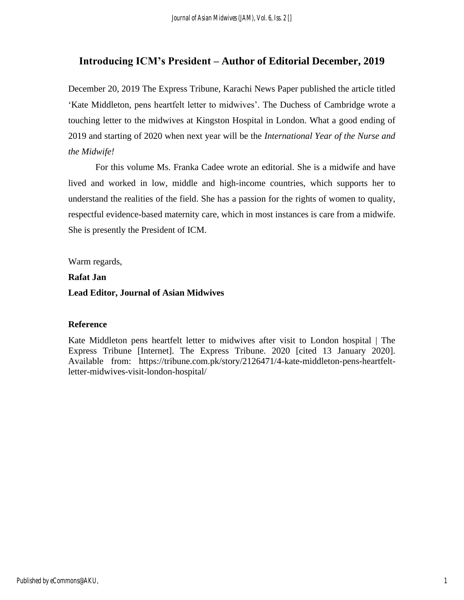### **Introducing ICM's President – Author of Editorial December, 2019**

December 20, 2019 The Express Tribune, Karachi News Paper published the article titled 'Kate Middleton, pens heartfelt letter to midwives'. The Duchess of Cambridge wrote a touching letter to the midwives at Kingston Hospital in London. What a good ending of 2019 and starting of 2020 when next year will be the *International Year of the Nurse and the Midwife!*

For this volume Ms. Franka Cadee wrote an editorial. She is a midwife and have lived and worked in low, middle and high-income countries, which supports her to understand the realities of the field. She has a passion for the rights of women to quality, respectful evidence-based maternity care, which in most instances is care from a midwife. She is presently the President of ICM.

Warm regards,

**Rafat Jan**

#### **Lead Editor, Journal of Asian Midwives**

#### **Reference**

Kate Middleton pens heartfelt letter to midwives after visit to London hospital | The Express Tribune [Internet]. The Express Tribune. 2020 [cited 13 January 2020]. Available from: https://tribune.com.pk/story/2126471/4-kate-middleton-pens-heartfeltletter-midwives-visit-london-hospital/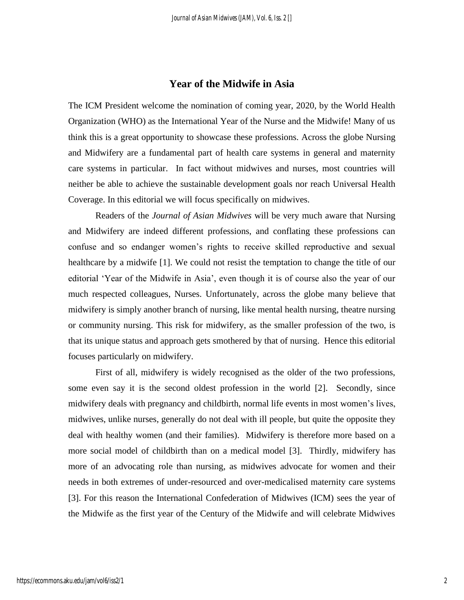#### **Year of the Midwife in Asia**

The ICM President welcome the nomination of coming year, 2020, by the World Health Organization (WHO) as the International Year of the Nurse and the Midwife! Many of us think this is a great opportunity to showcase these professions. Across the globe Nursing and Midwifery are a fundamental part of health care systems in general and maternity care systems in particular. In fact without midwives and nurses, most countries will neither be able to achieve the sustainable development goals nor reach Universal Health Coverage. In this editorial we will focus specifically on midwives.

Readers of the *Journal of Asian Midwives* will be very much aware that Nursing and Midwifery are indeed different professions, and conflating these professions can confuse and so endanger women's rights to receive skilled reproductive and sexual healthcare by a midwife [1]. We could not resist the temptation to change the title of our editorial 'Year of the Midwife in Asia', even though it is of course also the year of our much respected colleagues, Nurses. Unfortunately, across the globe many believe that midwifery is simply another branch of nursing, like mental health nursing, theatre nursing or community nursing. This risk for midwifery, as the smaller profession of the two, is that its unique status and approach gets smothered by that of nursing. Hence this editorial focuses particularly on midwifery.

First of all, midwifery is widely recognised as the older of the two professions, some even say it is the second oldest profession in the world [2]. Secondly, since midwifery deals with pregnancy and childbirth, normal life events in most women's lives, midwives, unlike nurses, generally do not deal with ill people, but quite the opposite they deal with healthy women (and their families). Midwifery is therefore more based on a more social model of childbirth than on a medical model [3]. Thirdly, midwifery has more of an advocating role than nursing, as midwives advocate for women and their needs in both extremes of under-resourced and over-medicalised maternity care systems [3]. For this reason the International Confederation of Midwives (ICM) sees the year of the Midwife as the first year of the Century of the Midwife and will celebrate Midwives